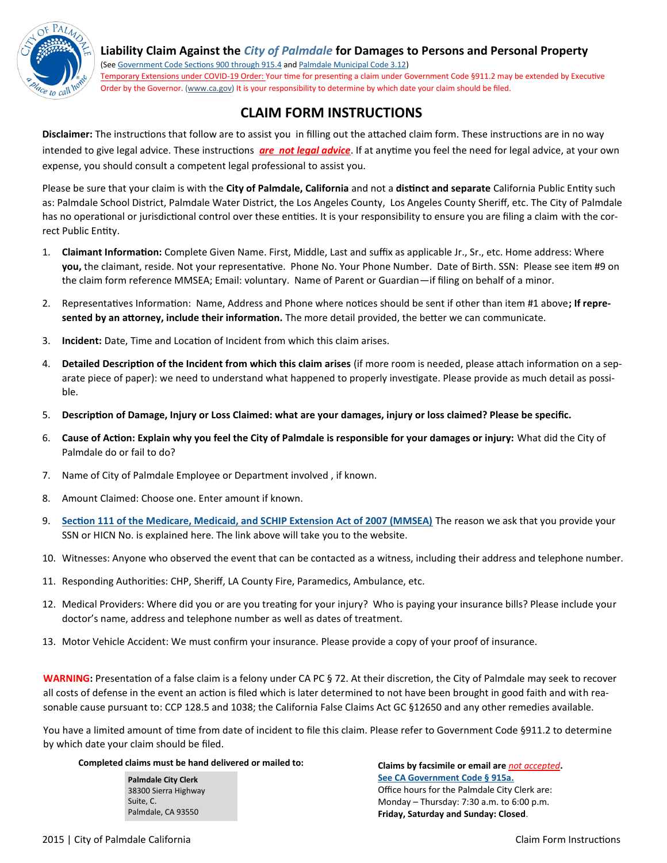

**Liability Claim Against the** *City of Palmdale* **for Damages to Persons and Personal Property**

(See [Government Code Sections 900 through 915.4](http://www.leginfo.ca.gov/.html/gov_table_of_contents.html) and [Palmdale Municipal Code 3.12\)](http://www.codepublishing.com/ca/Palmdale/palmdale03/Palmdale0312.html#3.12)

Temporary Extensions under COVID-19 Order: Your time for presenting a claim under Government Code §911.2 may be extended by Executive Order by the Governor. (www.ca.gov) It is your responsibility to determine by which date your claim should be filed.

# **CLAIM FORM INSTRUCTIONS**

**Disclaimer:** The instructions that follow are to assist you in filling out the attached claim form. These instructions are in no way intended to give legal advice. These instructions *are not legal advice*. If at anytime you feel the need for legal advice, at your own expense, you should consult a competent legal professional to assist you.

Please be sure that your claim is with the **City of Palmdale, California** and not a **distinct and separate** California Public Entity such as: Palmdale School District, Palmdale Water District, the Los Angeles County, Los Angeles County Sheriff, etc. The City of Palmdale has no operational or jurisdictional control over these entities. It is your responsibility to ensure you are filing a claim with the correct Public Entity.

- 1. **Claimant Information:** Complete Given Name. First, Middle, Last and suffix as applicable Jr., Sr., etc. Home address: Where **you,** the claimant, reside. Not your representative. Phone No. Your Phone Number. Date of Birth. SSN: Please see item #9 on the claim form reference MMSEA; Email: voluntary. Name of Parent or Guardian—if filing on behalf of a minor.
- 2. Representatives Information: Name, Address and Phone where notices should be sent if other than item #1 above**; If represented by an attorney, include their information.** The more detail provided, the better we can communicate.
- 3. **Incident:** Date, Time and Location of Incident from which this claim arises.
- 4. **Detailed Description of the Incident from which this claim arises** (if more room is needed, please attach information on a separate piece of paper): we need to understand what happened to properly investigate. Please provide as much detail as possible.
- 5. **Description of Damage, Injury or Loss Claimed: what are your damages, injury or loss claimed? Please be specific.**
- 6. **Cause of Action: Explain why you feel the City of Palmdale is responsible for your damages or injury:** What did the City of Palmdale do or fail to do?
- 7. Name of City of Palmdale Employee or Department involved , if known.
- 8. Amount Claimed: Choose one. Enter amount if known.
- 9. **[Section 111 of the Medicare, Medicaid, and SCHIP Extension Act of 2007 \(MMSEA\)](https://www.cms.gov/Medicare/Coordination-of-Benefits-and-Recovery/Mandatory-Insurer-Reporting-For-Group-Health-Plans/Overview.html)** The reason we ask that you provide your SSN or HICN No. is explained here. The link above will take you to the website.
- 10. Witnesses: Anyone who observed the event that can be contacted as a witness, including their address and telephone number.
- 11. Responding Authorities: CHP, Sheriff, LA County Fire, Paramedics, Ambulance, etc.
- 12. Medical Providers: Where did you or are you treating for your injury? Who is paying your insurance bills? Please include your doctor's name, address and telephone number as well as dates of treatment.
- 13. Motor Vehicle Accident: We must confirm your insurance. Please provide a copy of your proof of insurance.

**WARNING:** Presentation of a false claim is a felony under CA PC § 72. At their discretion, the City of Palmdale may seek to recover all costs of defense in the event an action is filed which is later determined to not have been brought in good faith and with reasonable cause pursuant to: CCP 128.5 and 1038; the California False Claims Act GC §12650 and any other remedies available.

You have a limited amount of time from date of incident to file this claim. Please refer to Government Code §911.2 to determine by which date your claim should be filed.

#### **Completed claims must be hand delivered or mailed to:**

**Palmdale City Clerk** 38300 Sierra Highway Suite, C. Palmdale, CA 93550

**Claims by facsimile or email are** *not accepted***. [See CA Government Code § 915a.](http://www.leginfo.ca.gov/cgi-bin/displaycode?section=gov&group=00001-01000&file=915-915.4)** Office hours for the Palmdale City Clerk are: Monday – Thursday: 7:30 a.m. to 6:00 p.m. **Friday, Saturday and Sunday: Closed**.

2015 | City of Palmdale California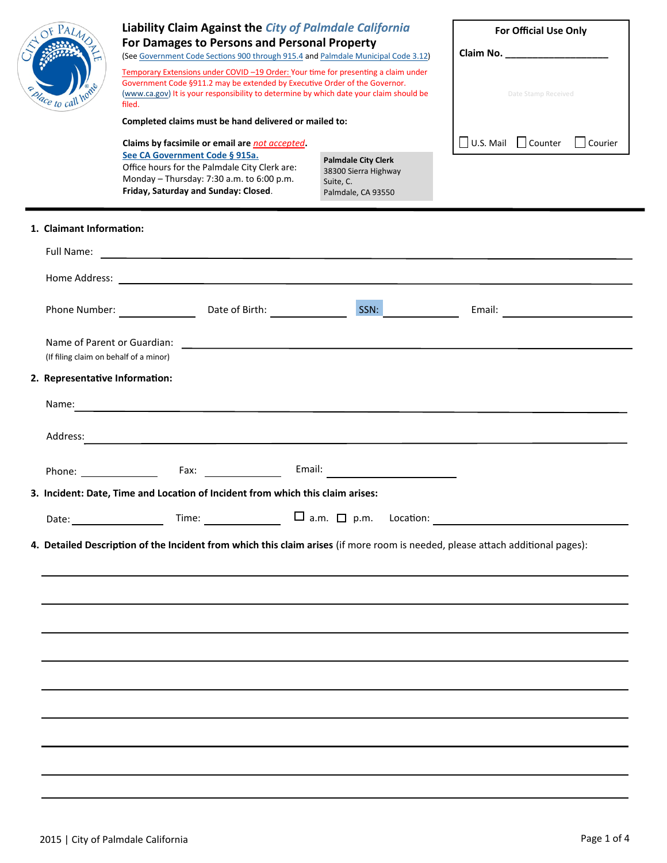| dace to call ho                                                                                         | Liability Claim Against the City of Palmdale California<br>For Damages to Persons and Personal Property<br>(See Government Code Sections 900 through 915.4 and Palmdale Municipal Code 3.12)<br>Temporary Extensions under COVID-19 Order: Your time for presenting a claim under<br>Government Code §911.2 may be extended by Executive Order of the Governor.<br>(www.ca.gov) It is your responsibility to determine by which date your claim should be<br>filed.<br>Completed claims must be hand delivered or mailed to: |                                                                                                               | For Official Use Only<br>Date Stamp Received   |  |
|---------------------------------------------------------------------------------------------------------|------------------------------------------------------------------------------------------------------------------------------------------------------------------------------------------------------------------------------------------------------------------------------------------------------------------------------------------------------------------------------------------------------------------------------------------------------------------------------------------------------------------------------|---------------------------------------------------------------------------------------------------------------|------------------------------------------------|--|
|                                                                                                         | Claims by facsimile or email are not accepted.<br>See CA Government Code § 915a.<br>Office hours for the Palmdale City Clerk are:<br>Monday - Thursday: 7:30 a.m. to 6:00 p.m.<br>Friday, Saturday and Sunday: Closed.                                                                                                                                                                                                                                                                                                       | <b>Palmdale City Clerk</b><br>38300 Sierra Highway<br>Suite, C.<br>Palmdale, CA 93550                         | $\Box$ U.S. Mail $\Box$ Counter<br>Courier     |  |
| 1. Claimant Information:                                                                                |                                                                                                                                                                                                                                                                                                                                                                                                                                                                                                                              |                                                                                                               |                                                |  |
|                                                                                                         | Date of Birth: Note of Birth:<br>Phone Number: ________________                                                                                                                                                                                                                                                                                                                                                                                                                                                              | SSN:                                                                                                          | Email: <u>___________________</u>              |  |
| Name of Parent or Guardian:<br>(If filing claim on behalf of a minor)<br>2. Representative Information: |                                                                                                                                                                                                                                                                                                                                                                                                                                                                                                                              |                                                                                                               |                                                |  |
| Name:                                                                                                   |                                                                                                                                                                                                                                                                                                                                                                                                                                                                                                                              |                                                                                                               |                                                |  |
| Address:                                                                                                | <u> 1989 - Johann Barnett, fransk politiker (d. 1989)</u>                                                                                                                                                                                                                                                                                                                                                                                                                                                                    |                                                                                                               |                                                |  |
| Phone: _________________                                                                                | Fax: Exercise and the second service of the series of the series of the series of the series of the series of the series of the series of the series of the series of the series of the series of the series of the series of                                                                                                                                                                                                                                                                                                | Email: 2008 - 2008 - 2009 - 2010 - 2010 - 2011 - 2012 - 2012 - 2012 - 2013 - 2014 - 2014 - 2014 - 2014 - 2014 |                                                |  |
|                                                                                                         | 3. Incident: Date, Time and Location of Incident from which this claim arises:                                                                                                                                                                                                                                                                                                                                                                                                                                               |                                                                                                               |                                                |  |
|                                                                                                         |                                                                                                                                                                                                                                                                                                                                                                                                                                                                                                                              |                                                                                                               | Time: $\Box$ a.m. $\Box$ p.m. Location: $\Box$ |  |
|                                                                                                         | 4. Detailed Description of the Incident from which this claim arises (if more room is needed, please attach additional pages):                                                                                                                                                                                                                                                                                                                                                                                               |                                                                                                               |                                                |  |
|                                                                                                         |                                                                                                                                                                                                                                                                                                                                                                                                                                                                                                                              |                                                                                                               |                                                |  |
|                                                                                                         |                                                                                                                                                                                                                                                                                                                                                                                                                                                                                                                              |                                                                                                               |                                                |  |
|                                                                                                         |                                                                                                                                                                                                                                                                                                                                                                                                                                                                                                                              |                                                                                                               |                                                |  |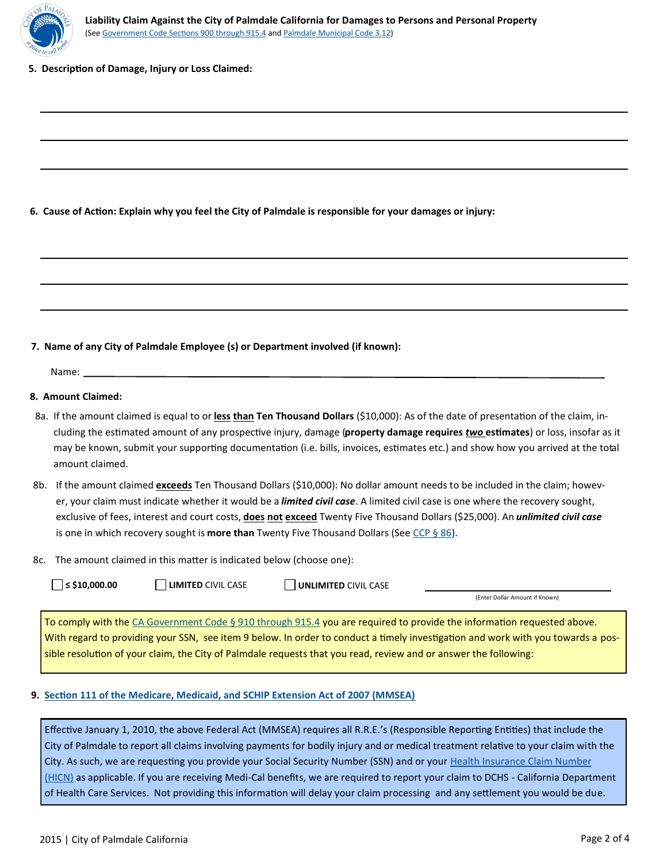

**5. Description of Damage, Injury or Loss Claimed:**

**6. Cause of Action: Explain why you feel the City of Palmdale is responsible for your damages or injury:** 

## **7. Name of any City of Palmdale Employee (s) or Department involved (if known):**

Name:

#### **8. Amount Claimed:**

- 8a. If the amount claimed is equal to or <u>less **than</u> Ten Thousand Dollars** (\$10,000): As of the date of presentation of the claim, in-</u> cluding the estimated amount of any prospective injury, damage (**property damage requires** *two* **estimates**) or loss, insofar as it may be known, submit your supporting documentation (i.e. bills, invoices, estimates etc.) and show how you arrived at the total amount claimed.
- 8b. If the amount claimed *exceeds* Ten Thousand Dollars (\$10,000): No dollar amount needs to be included in the claim; however, your claim must indicate whether it would be a *limited civil case*. A limited civil case is one where the recovery sought, exclusive of fees, interest and court costs, **does not exceed** Twenty Five Thousand Dollars (\$25,000). An *unlimited civil case*  is one in which recovery sought is **more than** Twenty Five Thousand Dollars (See [CCP § 86\).](http://www.leginfo.ca.gov/cgi-bin/displaycode?section=ccp&group=00001-01000&file=85-89)
- 8c. The amount claimed in this matter is indicated below (choose one):

| $\le$ \$10,000.00 |
|-------------------|
|                   |

■**LIMITED** CIVIL CASE ■■ UNLIMITED CIVIL CASE

(Enter Dollar Amount if Known)

To comply with the [CA Government Code § 910 through 915.4](http://www.leginfo.ca.gov/.html/gov_table_of_contents.html) you are required to provide the information requested above. With regard to providing your SSN, see item 9 below. In order to conduct a timely investigation and work with you towards a possible resolution of your claim, the City of Palmdale requests that you read, review and or answer the following:

## **9. [Section 111 of the Medicare, Medicaid, and SCHIP Extension Act of 2007 \(MMSEA\)](https://www.cms.gov/Medicare/Coordination-of-Benefits-and-Recovery/Mandatory-Insurer-Reporting-For-Group-Health-Plans/Overview.html)**

Effective January 1, 2010, the above Federal Act (MMSEA) requires all R.R.E.'s (Responsible Reporting Entities) that include the City of Palmdale to report all claims involving payments for bodily injury and or medical treatment relative to your claim with the City. As such, we are requesting you provide your Social Security Number (SSN) and or your Health Insurance Claim Number [\(HICN\)](http://www.cms.gov/Medicare/Coordination-of-Benefits-and-Recovery/Mandatory-Insurer-Reporting-For-Non-Group-Health-Plans/Downloads/New-Downloads/HICN-SSN-Collection-NGHP-Model-Language.pdf) as applicable. If you are receiving Medi-Cal benefits, we are required to report your claim to DCHS - California Department of Health Care Services. Not providing this information will delay your claim processing and any settlement you would be due.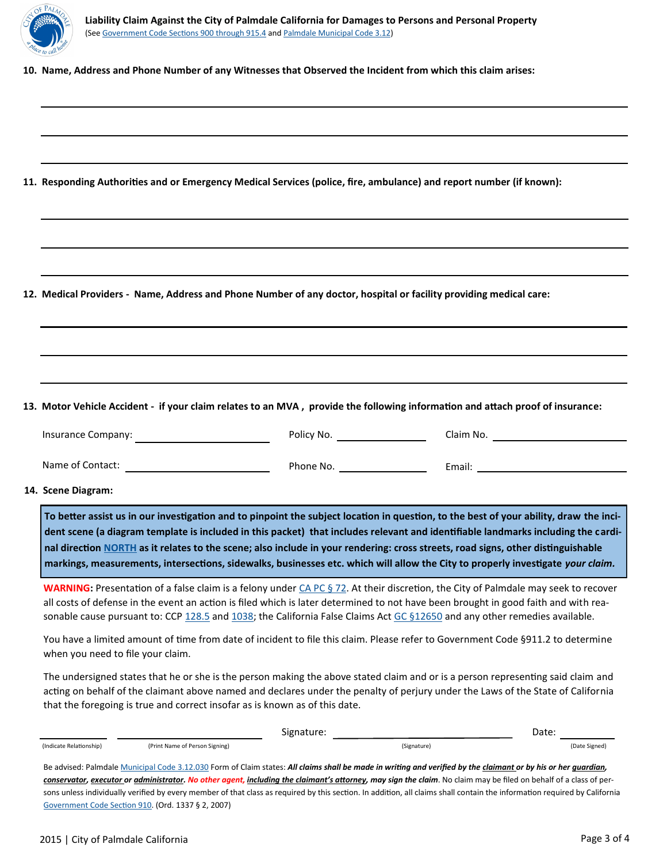

**10. Name, Address and Phone Number of any Witnesses that Observed the Incident from which this claim arises:** 

**11. Responding Authorities and or Emergency Medical Services (police, fire, ambulance) and report number (if known):** 

**12. Medical Providers - Name, Address and Phone Number of any doctor, hospital or facility providing medical care:** 

**13. Motor Vehicle Accident - if your claim relates to an MVA , provide the following information and attach proof of insurance:** 

| Insurance Company: | Policy No. | Claim No. |
|--------------------|------------|-----------|
|                    |            |           |

Name of Contact: Phone No. Email:

**14. Scene Diagram:** 

**To better assist us in our investigation and to pinpoint the subject location in question, to the best of your ability, draw the incident scene (a diagram template is included in this packet) that includes relevant and identifiable landmarks including the cardinal direction [NORTH](https://en.wikipedia.org/wiki/Cardinal_direction) as it relates to the scene; also include in your rendering: cross streets, road signs, other distinguishable markings, measurements, intersections, sidewalks, businesses etc. which will allow the City to properly investigate** *your claim.* 

WARNING: Presentation of a false claim is a felony under *CA PC § 72*. At their discretion, the City of Palmdale may seek to recover all costs of defense in the event an action is filed which is later determined to not have been brought in good faith and with rea-sonable cause pursuant to: CCP [128.5](http://www.leginfo.ca.gov/cgi-bin/displaycode?section=ccp&group=00001-01000&file=128-130) and [1038;](http://www.leginfo.ca.gov/cgi-bin/displaycode?section=ccp&group=01001-02000&file=1021-1038) the California False Claims Act [GC §12650](http://www.leginfo.ca.gov/cgi-bin/displaycode?section=gov&group=12001-13000&file=12650-12656) and any other remedies available.

You have a limited amount of time from date of incident to file this claim. Please refer to Government Code §911.2 to determine when you need to file your claim.

The undersigned states that he or she is the person making the above stated claim and or is a person representing said claim and acting on behalf of the claimant above named and declares under the penalty of perjury under the Laws of the State of California that the foregoing is true and correct insofar as is known as of this date.

|                                                                                                                                                                   |                                | Date:       |               |  |  |  |  |  |
|-------------------------------------------------------------------------------------------------------------------------------------------------------------------|--------------------------------|-------------|---------------|--|--|--|--|--|
| (Indicate Relationship)                                                                                                                                           | (Print Name of Person Signing) | (Signature) | (Date Signed) |  |  |  |  |  |
| Be advised: Palmdale Municipal Code 3.12.030 Form of Claim states: All claims shall be made in writing and verified by the claimant or by his or her quardian,    |                                |             |               |  |  |  |  |  |
| conservator, executor or administrator. No other agent, including the claimant's attorney, may sign the claim. No claim may be filed on behalf of a class of per- |                                |             |               |  |  |  |  |  |

sons unless individually verified by every member of that class as required by this section. In addition, all claims shall contain the information required by California [Government Code Section 910.](http://www.leginfo.ca.gov/.html/gov_table_of_contents.html) (Ord. 1337 § 2, 2007)